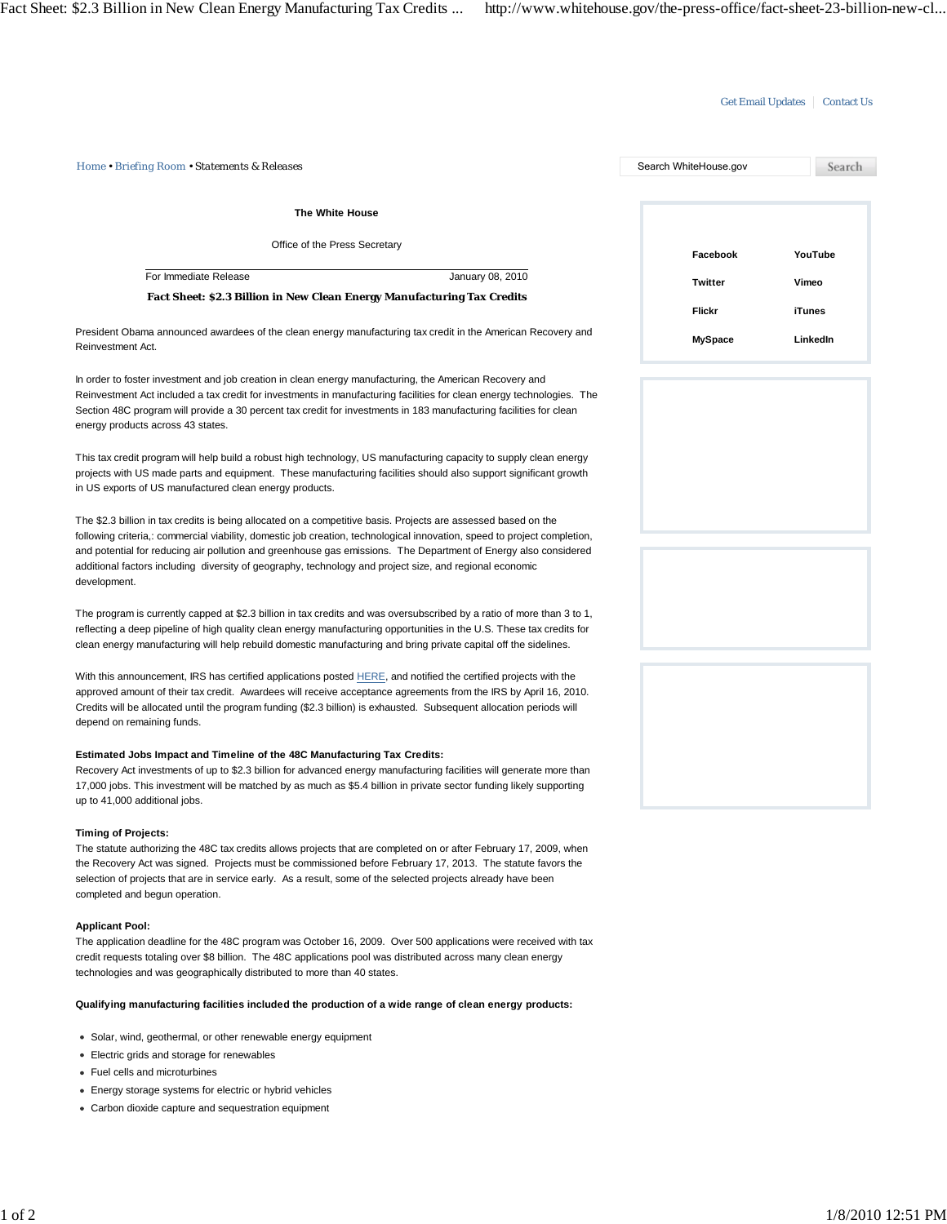## Get Email Updates | Contact Us

| The White House                                                                                                                                                                                                                                                                                                                                                                                                                                                                          |                |               |
|------------------------------------------------------------------------------------------------------------------------------------------------------------------------------------------------------------------------------------------------------------------------------------------------------------------------------------------------------------------------------------------------------------------------------------------------------------------------------------------|----------------|---------------|
| Office of the Press Secretary                                                                                                                                                                                                                                                                                                                                                                                                                                                            | Facebook       | YouTube       |
| For Immediate Release<br>January 08, 2010                                                                                                                                                                                                                                                                                                                                                                                                                                                | <b>Twitter</b> | Vimeo         |
| <b>Fact Sheet: \$2.3 Billion in New Clean Energy Manufacturing Tax Credits</b>                                                                                                                                                                                                                                                                                                                                                                                                           | Flickr         | <b>iTunes</b> |
| President Obama announced awardees of the clean energy manufacturing tax credit in the American Recovery and<br>Reinvestment Act.                                                                                                                                                                                                                                                                                                                                                        | <b>MySpace</b> | LinkedIn      |
| In order to foster investment and job creation in clean energy manufacturing, the American Recovery and<br>Reinvestment Act included a tax credit for investments in manufacturing facilities for clean energy technologies. The<br>Section 48C program will provide a 30 percent tax credit for investments in 183 manufacturing facilities for clean<br>energy products across 43 states.                                                                                              |                |               |
| This tax credit program will help build a robust high technology, US manufacturing capacity to supply clean energy<br>projects with US made parts and equipment. These manufacturing facilities should also support significant growth<br>in US exports of US manufactured clean energy products.                                                                                                                                                                                        |                |               |
| The \$2.3 billion in tax credits is being allocated on a competitive basis. Projects are assessed based on the<br>following criteria,: commercial viability, domestic job creation, technological innovation, speed to project completion,<br>and potential for reducing air pollution and greenhouse gas emissions. The Department of Energy also considered<br>additional factors including diversity of geography, technology and project size, and regional economic<br>development. |                |               |
| The program is currently capped at \$2.3 billion in tax credits and was oversubscribed by a ratio of more than 3 to 1,<br>reflecting a deep pipeline of high quality clean energy manufacturing opportunities in the U.S. These tax credits for<br>clean energy manufacturing will help rebuild domestic manufacturing and bring private capital off the sidelines.                                                                                                                      |                |               |
| With this announcement, IRS has certified applications posted HERE, and notified the certified projects with the<br>approved amount of their tax credit. Awardees will receive acceptance agreements from the IRS by April 16, 2010.<br>Credits will be allocated until the program funding (\$2.3 billion) is exhausted. Subsequent allocation periods will<br>depend on remaining funds.                                                                                               |                |               |
| Estimated Jobs Impact and Timeline of the 48C Manufacturing Tax Credits:<br>Recovery Act investments of up to \$2.3 billion for advanced energy manufacturing facilities will generate more than<br>17,000 jobs. This investment will be matched by as much as \$5.4 billion in private sector funding likely supporting<br>up to 41,000 additional jobs.                                                                                                                                |                |               |
| <b>Timing of Projects:</b><br>The statute authorizing the 48C tax credits allows projects that are completed on or after February 17, 2009, when<br>the Recovery Act was signed. Projects must be commissioned before February 17, 2013. The statute favors the<br>selection of projects that are in service early. As a result, some of the selected projects already have been<br>completed and begun operation.                                                                       |                |               |
| <b>Applicant Pool:</b><br>The application deadline for the 48C program was October 16, 2009. Over 500 applications were received with tax<br>credit requests totaling over \$8 billion. The 48C applications pool was distributed across many clean energy<br>technologies and was geographically distributed to more than 40 states.                                                                                                                                                    |                |               |
| Qualifying manufacturing facilities included the production of a wide range of clean energy products:                                                                                                                                                                                                                                                                                                                                                                                    |                |               |
| • Solar, wind, geothermal, or other renewable energy equipment<br>• Electric grids and storage for renewables                                                                                                                                                                                                                                                                                                                                                                            |                |               |
| • Fuel cells and microturbines                                                                                                                                                                                                                                                                                                                                                                                                                                                           |                |               |
| • Energy storage systems for electric or hybrid vehicles                                                                                                                                                                                                                                                                                                                                                                                                                                 |                |               |
| • Carbon dioxide capture and sequestration equipment                                                                                                                                                                                                                                                                                                                                                                                                                                     |                |               |
|                                                                                                                                                                                                                                                                                                                                                                                                                                                                                          |                |               |